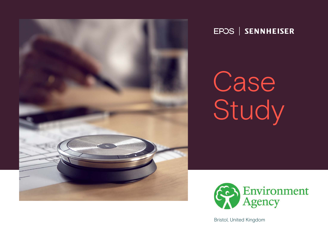

## EPOS | SENNHEISER

Case Study



Bristol, United Kingdom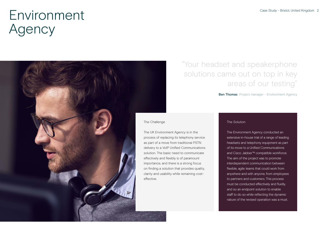

## "Your headset and speakerphone solutions came out on top in key areas of our testing"

### Ben Thomas Project manager - Environment Agency

### The Challenge

The UK Environment Agency is in the process of replacing its telephony service as part of a move from traditional PSTN delivery to a VoIP Unified Communications solution. The basic need to communicate effectively and flexibly is of paramount importance, and there is a strong focus on finding a solution that provides quality, clarity and usability while remaining cost-

### The Solution

The Environment Agency conducted an extensive in-house trial of a range of leading headsets and telephony equipment as part of its move to a Unified Communications and Cisco Jabber™ compatible workforce. The aim of the project was to promote interdependent communication between flexible, agile teams that could work from anywhere and with anyone, from employees to partners and customers. This process must be conducted effectively and fluidly, and so an endpoint solution to enable staff to do so while reflecting the dynamic nature of the revised operation was a must.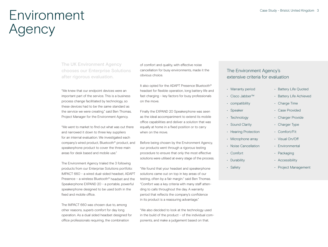The UK Environment Agency chooses our Enterprise Solutions after rigorous evaluation.

"We knew that our endpoint devices were an important part of the service. This is a business process change facilitiated by technology, so these devices had to be the same standard as the service we were creating." said Ben Thomas, Project Manager for the Environment Agency.

"We went to market to find out what was out there and narrowed it down to three key suppliers for an internal evaluation. We investigated each company's wired product, Bluetooth® product, and speakerphone product to cover the three main areas for desk based and mobile use."

The Environment Agency trialed the 3 following products from our Enterprise Solutions portfolio: IMPACT 660 - a wired dual-sided headset, ADAPT Presence – a wireless Bluetooth® headset and the Speakerphone EXPAND 20 - a portable, powerful speakerphone designed to be used both in the fixed and mobile office.

The IMPACT 660 was chosen due to, among other reasons, superb comfort for day long operation. As a dual sided headset designed for office professionals requiring, the combination

of comfort and quality, with effective noise cancellation for busy environments, made it the obvious choice.

It also opted for the ADAPT Presence Bluetooth® headset for flexible operation, long battery life and fast charging – key factors for busy professionals on the move.

Finally the EXPAND 20 Speakerphone was seen as the ideal accompaniment to extend its mobile office capabilities and deliver a solution that was equally at home in a fixed position or to carry when on the move.

Before being chosen by the Environment Agency, our products went through a rigorous testing procedure to ensure that only the most effective solutions were utilised at every stage of the process.

"We found that your headset and speakerphone solutions came out on top in key areas of our testing, often by a fair margin." said Ben Thomas. "Comfort was a key criteria with many staff attending to calls throughout the day. A warranty period that reflects the company's confidence in its product is a reassuring advantage."

"We also decided to look at the technology used in the build of the product – of the individual components, and make a judgement based on that.

## The Environment Agency's extensive criteria for evaluation

- Warranty period
- Cisco Jabber™
- compatibility
- Speaker
- Technology
- Sound Clarity
- Hearing Protection
- Microphone array
- Noise Cancellation
- Comfort
- Durability
- Safety
- Battery Life Quoted
- Battery Life Achieved
- Charge Time
- Case Provided
- Charger Provide
- Charger Type
- Comfort/Fit
- Visual On/Off
- Environmental
- Packaging
- Accessibility
- Project Management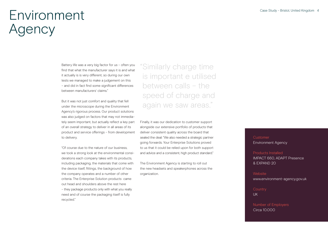Battery life was a very big factor for us – often you find that what the manufacturer says it is and what it actually is is very different, so during our own tests we managed to make a judgement on this – and did in fact find some significant differences between manufacturers' claims."

But it was not just comfort and quality that fell under the microscope during the Environment Agency's rigorous process. Our product solutions was also judged on factors that may not immediately seem important, but actually reflect a key part of an overall strategy to deliver in all areas of its product and service offerings – from development to delivery.

"Of course due to the nature of our business, we took a strong look at the environmental considerations each company takes with its products, including packaging, the materials that come with the device itself, fittings, the background of how the company operates and a number of other criteria. The Enterprise Solution products came out head and shoulders above the rest here

– they package products only with what you really need and of course the packaging itself is fully recycled."

"Similarly charge time is important e utilised between calls – the speed of charge and again we saw areas."

Finally, it was our dedication to customer support alongside our extensive portfolio of products that deliver consistent quality across the board that sealed the deal: "We also needed a strategic partner going forwards. Your Enterprise Solutions proved to us that it could be relied upon for both support and advice and a consistent, high product standard."

The Environment Agency is starting to roll out the new headsets and speakerphones across the organization.

## **Customer** Environment Agency

Products Installed IMPACT 660, ADAPT Presence & EXPAND 20

**Website** www.environment-agency.gov.uk

**Country** UK

Number of Employers Circa 10.000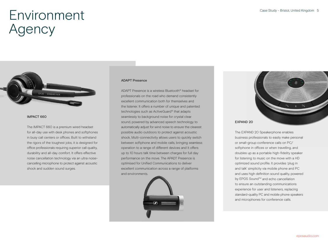

### IMPACT 660

The IMPACT 660 is a premium wired headset for all-day use with desk phones and softphones in busy call centers or offices. Built to withstand the rigors of the toughest jobs, it is designed for office professionals requiring superior call quality, durability and all-day comfort. It offers effective noise cancellation technology via an ultra noisecancelling microphone to protect against acoustic shock and sudden sound surges.

#### ADAPT Presence

ADAPT Presence is a wireless Bluetooth® headset for professionals on the road who demand consistently excellent communication both for themselves and the listener. It offers a number of unique and patented technologies such as ActiveGuard® that adapts seamlessly to background noise for crystal clear sound, powered by advanced speech technology to automatically adjust for wind noise to ensure the clearest possible audio outdoors to protect against acoustic shock. Multi-connectivity allows users to quickly switch between softphone and mobile calls, bringing seamless operation to a range of different devices and it offers up to 10 hours talk time between charges for full day performance on the move. The APADT Presence is optimised for Unified Communications to deliver excellent communication across a range of platforms and environments.





EXPAND 20

The EXPAND 20 Speakerphone enables business professionals to easily make personal or small-group conference calls on PC/ softphone in offices or when travelling, and doubles up as a portable high-fidelity speaker for listening to music on the move with a HD optimized sound profile. It provides 'plug in and talk' simplicity via mobile phone and PC and uses high definition sound quality, powered by EPOS Sound™ and echo cancellation to ensure an outstanding communications experience for user and listeners, replacing standard-quality PC and mobile phone speakers and microphones for conference calls.